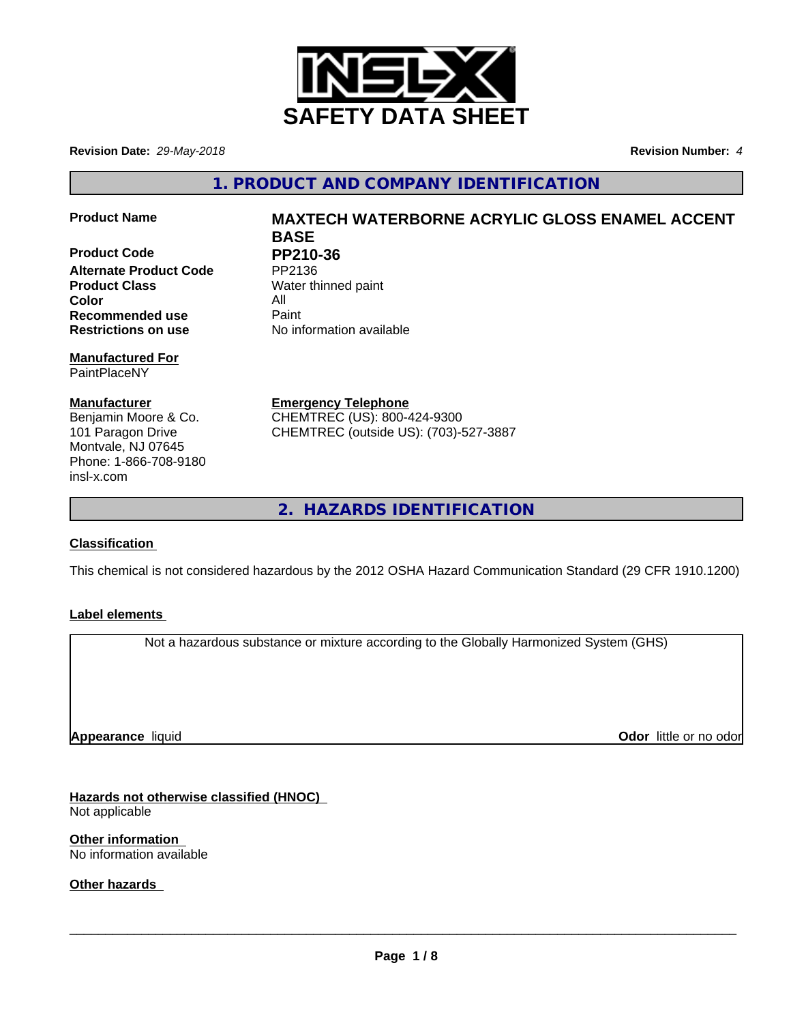

**Revision Date:** *29-May-2018* **Revision Number:** *4*

**1. PRODUCT AND COMPANY IDENTIFICATION**

**Product Code PP210-36**<br>Alternate Product Code PP2136 **Alternate Product Code Product Class** Water thinned paint **Color** All All<br> **Recommended use** Paint **Recommended use Restrictions on use** No information available

#### **Manufactured For** PaintPlaceNY

**Manufacturer** Benjamin Moore & Co. 101 Paragon Drive Montvale, NJ 07645 Phone: 1-866-708-9180 insl-x.com

# **Product Name MAXTECH WATERBORNE ACRYLIC GLOSS ENAMEL ACCENT BASE**

**Emergency Telephone** CHEMTREC (US): 800-424-9300 CHEMTREC (outside US): (703)-527-3887

**2. HAZARDS IDENTIFICATION**

## **Classification**

This chemical is not considered hazardous by the 2012 OSHA Hazard Communication Standard (29 CFR 1910.1200)

## **Label elements**

Not a hazardous substance or mixture according to the Globally Harmonized System (GHS)

**Appearance** liquid

**Odor** little or no odor

**Hazards not otherwise classified (HNOC)** Not applicable

**Other information** No information available

**Other hazards**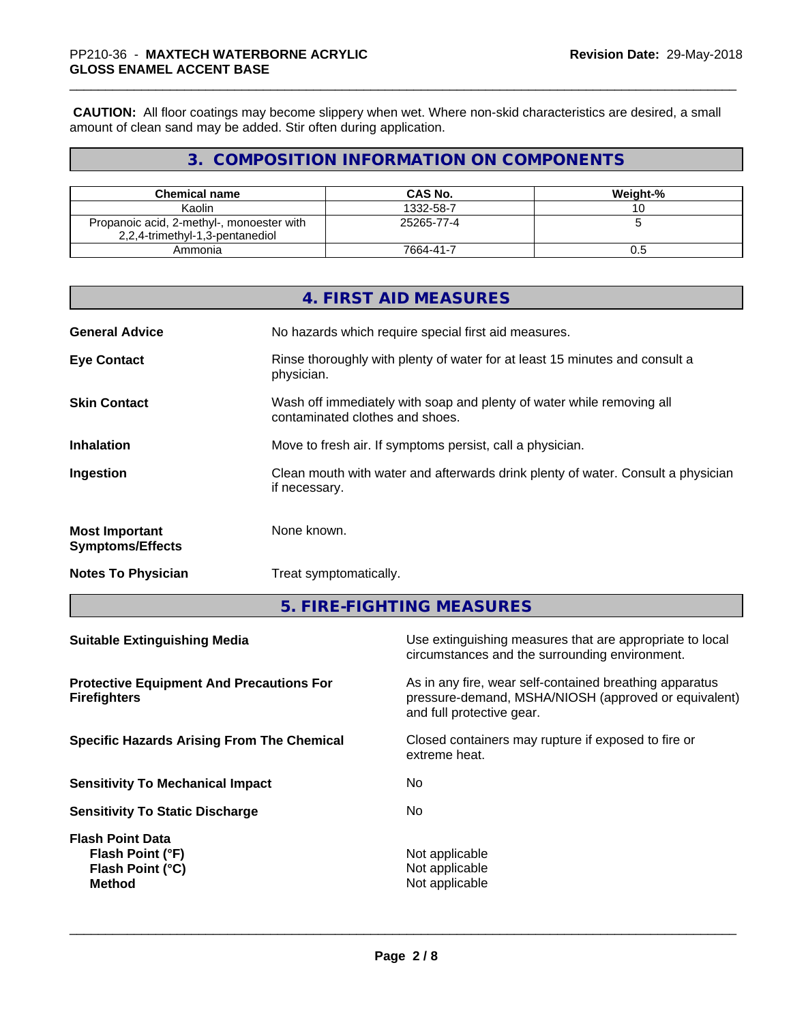**CAUTION:** All floor coatings may become slippery when wet. Where non-skid characteristics are desired, a small amount of clean sand may be added. Stir often during application.

## **3. COMPOSITION INFORMATION ON COMPONENTS**

| <b>Chemical name</b>                      | <b>CAS No.</b> | Weight-% |
|-------------------------------------------|----------------|----------|
| Kaolin                                    | 1332-58-7      |          |
| Propanoic acid, 2-methyl-, monoester with | 25265-77-4     |          |
| 2,2,4-trimethyl-1,3-pentanediol           |                |          |
| Ammonia                                   | 7664-41-7      | U.O      |

|                                                  | 4. FIRST AID MEASURES                                                                                    |
|--------------------------------------------------|----------------------------------------------------------------------------------------------------------|
| <b>General Advice</b>                            | No hazards which require special first aid measures.                                                     |
| <b>Eye Contact</b>                               | Rinse thoroughly with plenty of water for at least 15 minutes and consult a<br>physician.                |
| <b>Skin Contact</b>                              | Wash off immediately with soap and plenty of water while removing all<br>contaminated clothes and shoes. |
| <b>Inhalation</b>                                | Move to fresh air. If symptoms persist, call a physician.                                                |
| Ingestion                                        | Clean mouth with water and afterwards drink plenty of water. Consult a physician<br>if necessary.        |
| <b>Most Important</b><br><b>Symptoms/Effects</b> | None known.                                                                                              |
| <b>Notes To Physician</b>                        | Treat symptomatically.                                                                                   |

**5. FIRE-FIGHTING MEASURES**

| Use extinguishing measures that are appropriate to local<br>circumstances and the surrounding environment.                                   |
|----------------------------------------------------------------------------------------------------------------------------------------------|
| As in any fire, wear self-contained breathing apparatus<br>pressure-demand, MSHA/NIOSH (approved or equivalent)<br>and full protective gear. |
| Closed containers may rupture if exposed to fire or<br>extreme heat.                                                                         |
| No.                                                                                                                                          |
| No.                                                                                                                                          |
| Not applicable<br>Not applicable<br>Not applicable                                                                                           |
|                                                                                                                                              |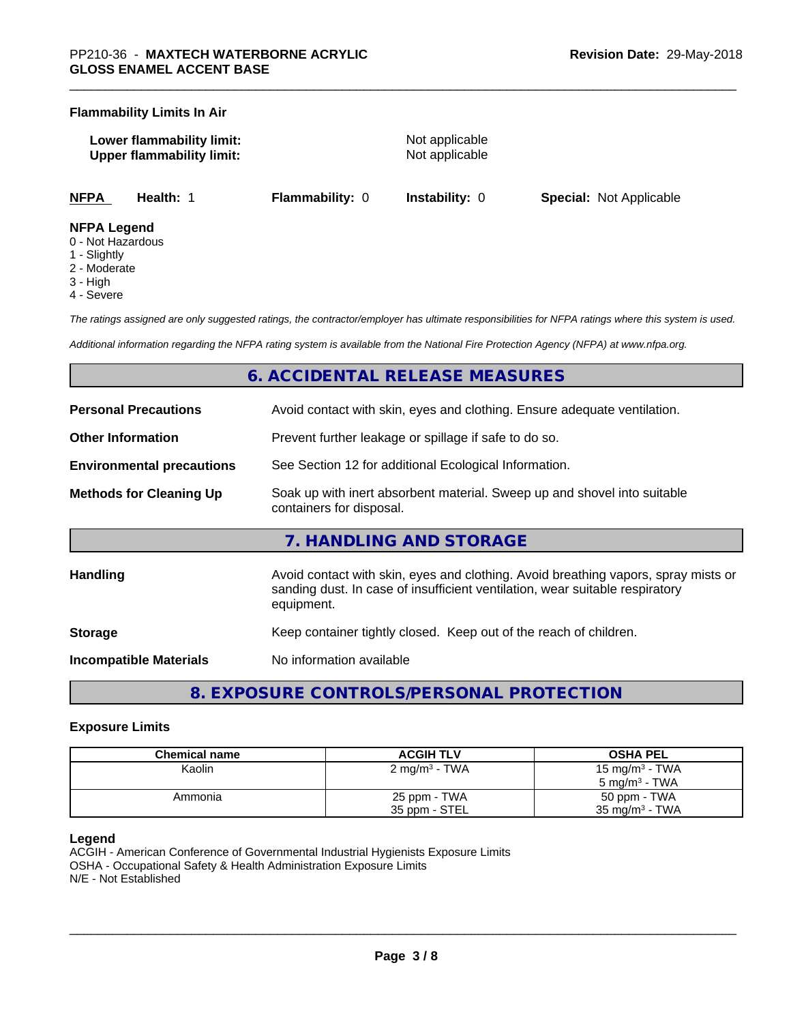#### **Flammability Limits In Air**

**Lower flammability limit:** Not applicable **Upper flammability limit:** Not applicable

**NFPA Health:** 1 **Flammability:** 0 **Instability:** 0 **Special:** Not Applicable

#### **NFPA Legend**

- 0 Not Hazardous
- 1 Slightly
- 2 Moderate
- 3 High
- 4 Severe

*The ratings assigned are only suggested ratings, the contractor/employer has ultimate responsibilities for NFPA ratings where this system is used.*

*Additional information regarding the NFPA rating system is available from the National Fire Protection Agency (NFPA) at www.nfpa.org.*

## **6. ACCIDENTAL RELEASE MEASURES**

| <b>Personal Precautions</b>      | Avoid contact with skin, eyes and clothing. Ensure adequate ventilation.                                                                                                         |
|----------------------------------|----------------------------------------------------------------------------------------------------------------------------------------------------------------------------------|
| <b>Other Information</b>         | Prevent further leakage or spillage if safe to do so.                                                                                                                            |
| <b>Environmental precautions</b> | See Section 12 for additional Ecological Information.                                                                                                                            |
| <b>Methods for Cleaning Up</b>   | Soak up with inert absorbent material. Sweep up and shovel into suitable<br>containers for disposal.                                                                             |
|                                  | 7. HANDLING AND STORAGE                                                                                                                                                          |
| <b>Handling</b>                  | Avoid contact with skin, eyes and clothing. Avoid breathing vapors, spray mists or<br>sanding dust. In case of insufficient ventilation, wear suitable respiratory<br>equipment. |
| <b>Storage</b>                   | Keep container tightly closed. Keep out of the reach of children.                                                                                                                |
| <b>Incompatible Materials</b>    | No information available                                                                                                                                                         |

## **8. EXPOSURE CONTROLS/PERSONAL PROTECTION**

#### **Exposure Limits**

| Chemical name | <b>ACGIH TLV</b>         | <b>OSHA PEL</b>            |
|---------------|--------------------------|----------------------------|
| Kaolin        | $2 \text{ mg/m}^3$ - TWA | 15 mg/m <sup>3</sup> - TWA |
|               |                          | 5 mg/m $3$ - TWA           |
| Ammonia       | 25 ppm - TWA             | 50 ppm - TWA               |
|               | 35 ppm - STEL            | $35 \text{ mg/m}^3$ - TWA  |

#### **Legend**

ACGIH - American Conference of Governmental Industrial Hygienists Exposure Limits OSHA - Occupational Safety & Health Administration Exposure Limits N/E - Not Established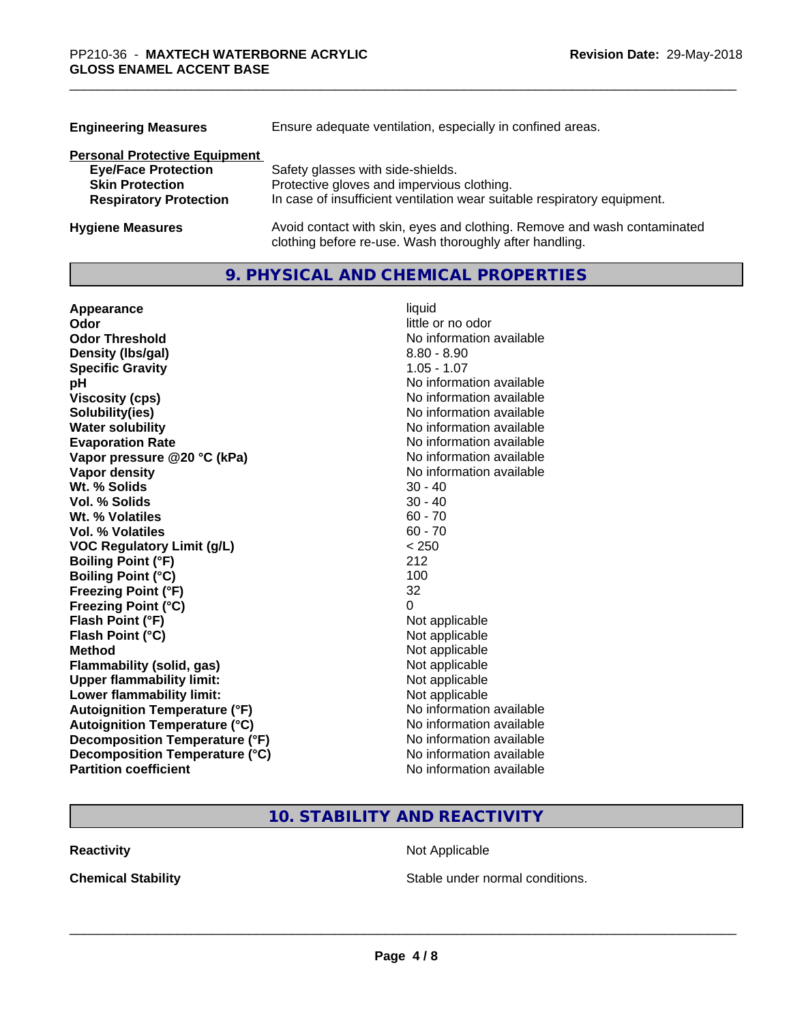| <b>Engineering Measures</b>          | Ensure adequate ventilation, especially in confined areas.                                                                          |
|--------------------------------------|-------------------------------------------------------------------------------------------------------------------------------------|
| <b>Personal Protective Equipment</b> |                                                                                                                                     |
| <b>Eye/Face Protection</b>           | Safety glasses with side-shields.                                                                                                   |
| <b>Skin Protection</b>               | Protective gloves and impervious clothing.                                                                                          |
| <b>Respiratory Protection</b>        | In case of insufficient ventilation wear suitable respiratory equipment.                                                            |
| <b>Hygiene Measures</b>              | Avoid contact with skin, eyes and clothing. Remove and wash contaminated<br>clothing before re-use. Wash thoroughly after handling. |

## **9. PHYSICAL AND CHEMICAL PROPERTIES**

| Appearance                           | liquid                   |
|--------------------------------------|--------------------------|
| Odor                                 | little or no odor        |
| <b>Odor Threshold</b>                | No information available |
| Density (Ibs/gal)                    | $8.80 - 8.90$            |
| <b>Specific Gravity</b>              | $1.05 - 1.07$            |
| рH                                   | No information available |
| <b>Viscosity (cps)</b>               | No information available |
| Solubility(ies)                      | No information available |
| <b>Water solubility</b>              | No information available |
| <b>Evaporation Rate</b>              | No information available |
| Vapor pressure @20 °C (kPa)          | No information available |
| Vapor density                        | No information available |
| Wt. % Solids                         | $30 - 40$                |
| Vol. % Solids                        | $30 - 40$                |
| Wt. % Volatiles                      | $60 - 70$                |
| Vol. % Volatiles                     | $60 - 70$                |
| <b>VOC Regulatory Limit (g/L)</b>    | < 250                    |
| <b>Boiling Point (°F)</b>            | 212                      |
| <b>Boiling Point (°C)</b>            | 100                      |
| <b>Freezing Point (°F)</b>           | 32                       |
| <b>Freezing Point (°C)</b>           | 0                        |
| Flash Point (°F)                     | Not applicable           |
| Flash Point (°C)                     | Not applicable           |
| <b>Method</b>                        | Not applicable           |
| <b>Flammability (solid, gas)</b>     | Not applicable           |
| <b>Upper flammability limit:</b>     | Not applicable           |
| Lower flammability limit:            | Not applicable           |
| <b>Autoignition Temperature (°F)</b> | No information available |
| <b>Autoignition Temperature (°C)</b> | No information available |
| Decomposition Temperature (°F)       | No information available |
| Decomposition Temperature (°C)       | No information available |
| <b>Partition coefficient</b>         | No information available |

## **10. STABILITY AND REACTIVITY**

**Reactivity Not Applicable Not Applicable** 

**Chemical Stability Chemical Stability** Stable under normal conditions.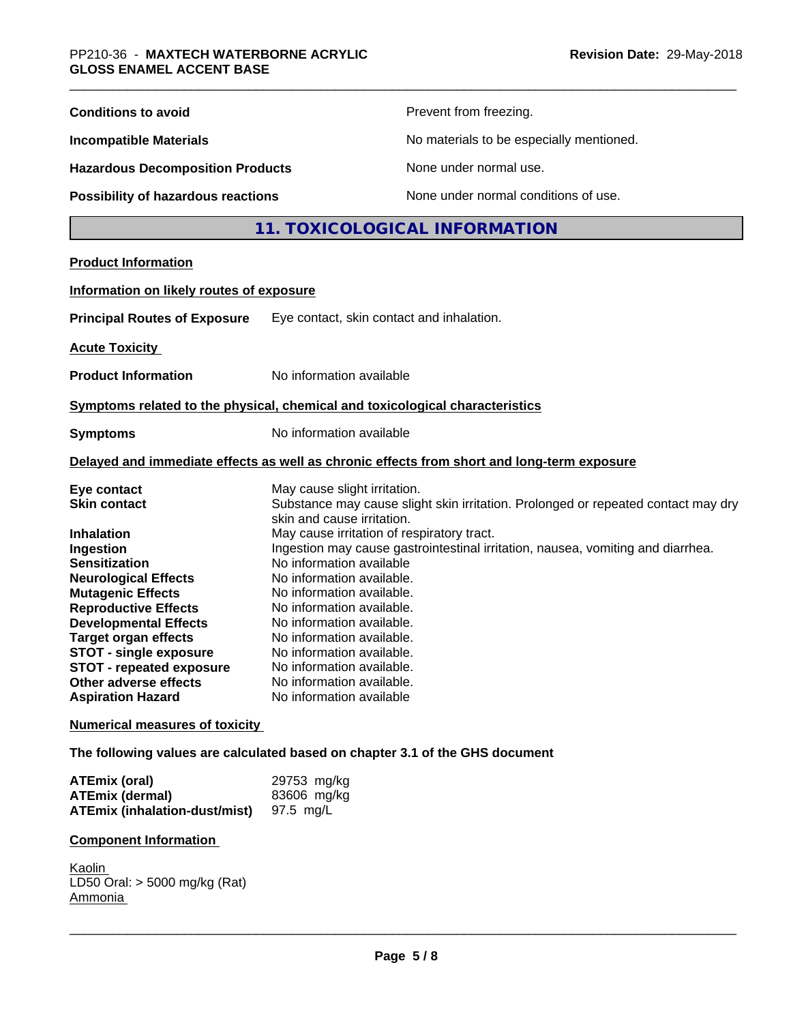| <b>Conditions to avoid</b>                                                                                                                                                                                                                                                                                                                                                                                              | Prevent from freezing.                                                                                                                                                                                                                                                                                                                                                                                                                                                                                                                                                                                                                                          |
|-------------------------------------------------------------------------------------------------------------------------------------------------------------------------------------------------------------------------------------------------------------------------------------------------------------------------------------------------------------------------------------------------------------------------|-----------------------------------------------------------------------------------------------------------------------------------------------------------------------------------------------------------------------------------------------------------------------------------------------------------------------------------------------------------------------------------------------------------------------------------------------------------------------------------------------------------------------------------------------------------------------------------------------------------------------------------------------------------------|
| <b>Incompatible Materials</b>                                                                                                                                                                                                                                                                                                                                                                                           | No materials to be especially mentioned.                                                                                                                                                                                                                                                                                                                                                                                                                                                                                                                                                                                                                        |
| <b>Hazardous Decomposition Products</b>                                                                                                                                                                                                                                                                                                                                                                                 | None under normal use.                                                                                                                                                                                                                                                                                                                                                                                                                                                                                                                                                                                                                                          |
| <b>Possibility of hazardous reactions</b>                                                                                                                                                                                                                                                                                                                                                                               | None under normal conditions of use.                                                                                                                                                                                                                                                                                                                                                                                                                                                                                                                                                                                                                            |
|                                                                                                                                                                                                                                                                                                                                                                                                                         | 11. TOXICOLOGICAL INFORMATION                                                                                                                                                                                                                                                                                                                                                                                                                                                                                                                                                                                                                                   |
| <b>Product Information</b>                                                                                                                                                                                                                                                                                                                                                                                              |                                                                                                                                                                                                                                                                                                                                                                                                                                                                                                                                                                                                                                                                 |
| Information on likely routes of exposure                                                                                                                                                                                                                                                                                                                                                                                |                                                                                                                                                                                                                                                                                                                                                                                                                                                                                                                                                                                                                                                                 |
| <b>Principal Routes of Exposure</b>                                                                                                                                                                                                                                                                                                                                                                                     | Eye contact, skin contact and inhalation.                                                                                                                                                                                                                                                                                                                                                                                                                                                                                                                                                                                                                       |
| <b>Acute Toxicity</b>                                                                                                                                                                                                                                                                                                                                                                                                   |                                                                                                                                                                                                                                                                                                                                                                                                                                                                                                                                                                                                                                                                 |
| <b>Product Information</b>                                                                                                                                                                                                                                                                                                                                                                                              | No information available                                                                                                                                                                                                                                                                                                                                                                                                                                                                                                                                                                                                                                        |
|                                                                                                                                                                                                                                                                                                                                                                                                                         | Symptoms related to the physical, chemical and toxicological characteristics                                                                                                                                                                                                                                                                                                                                                                                                                                                                                                                                                                                    |
| <b>Symptoms</b>                                                                                                                                                                                                                                                                                                                                                                                                         | No information available                                                                                                                                                                                                                                                                                                                                                                                                                                                                                                                                                                                                                                        |
|                                                                                                                                                                                                                                                                                                                                                                                                                         | Delayed and immediate effects as well as chronic effects from short and long-term exposure                                                                                                                                                                                                                                                                                                                                                                                                                                                                                                                                                                      |
| Eye contact<br><b>Skin contact</b><br><b>Inhalation</b><br>Ingestion<br><b>Sensitization</b><br><b>Neurological Effects</b><br><b>Mutagenic Effects</b><br><b>Reproductive Effects</b><br><b>Developmental Effects</b><br><b>Target organ effects</b><br><b>STOT - single exposure</b><br><b>STOT - repeated exposure</b><br>Other adverse effects<br><b>Aspiration Hazard</b><br><b>Numerical measures of toxicity</b> | May cause slight irritation.<br>Substance may cause slight skin irritation. Prolonged or repeated contact may dry<br>skin and cause irritation.<br>May cause irritation of respiratory tract.<br>Ingestion may cause gastrointestinal irritation, nausea, vomiting and diarrhea.<br>No information available<br>No information available.<br>No information available.<br>No information available.<br>No information available.<br>No information available.<br>No information available.<br>No information available<br>No information available.<br>No information available<br>The following values are calculated based on chapter 3.1 of the GHS document |
|                                                                                                                                                                                                                                                                                                                                                                                                                         |                                                                                                                                                                                                                                                                                                                                                                                                                                                                                                                                                                                                                                                                 |
| <b>ATEmix (oral)</b><br><b>ATEmix (dermal)</b><br><b>ATEmix (inhalation-dust/mist)</b>                                                                                                                                                                                                                                                                                                                                  | 29753 mg/kg<br>83606 mg/kg<br>97.5 mg/L                                                                                                                                                                                                                                                                                                                                                                                                                                                                                                                                                                                                                         |
| <b>Component Information</b>                                                                                                                                                                                                                                                                                                                                                                                            |                                                                                                                                                                                                                                                                                                                                                                                                                                                                                                                                                                                                                                                                 |
| Kaolin<br>LD50 Oral: > 5000 mg/kg (Rat)<br>Ammonia                                                                                                                                                                                                                                                                                                                                                                      |                                                                                                                                                                                                                                                                                                                                                                                                                                                                                                                                                                                                                                                                 |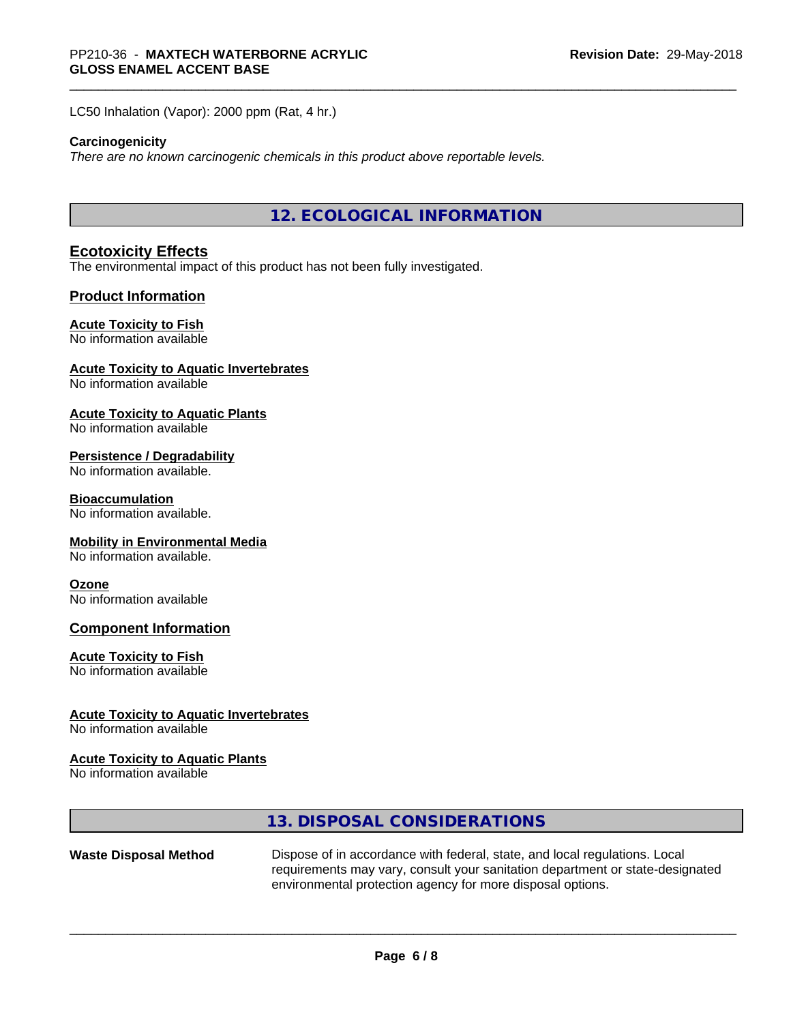LC50 Inhalation (Vapor): 2000 ppm (Rat, 4 hr.)

#### **Carcinogenicity**

*There are no known carcinogenic chemicals in this product above reportable levels.*

**12. ECOLOGICAL INFORMATION**

#### **Ecotoxicity Effects**

The environmental impact of this product has not been fully investigated.

#### **Product Information**

#### **Acute Toxicity to Fish**

#### No information available

### **Acute Toxicity to Aquatic Invertebrates**

No information available

#### **Acute Toxicity to Aquatic Plants**

No information available

#### **Persistence / Degradability**

No information available.

#### **Bioaccumulation**

No information available.

#### **Mobility in Environmental Media**

No information available.

#### **Ozone**

No information available

#### **Component Information**

#### **Acute Toxicity to Fish**

No information available

#### **Acute Toxicity to Aquatic Invertebrates**

No information available

#### **Acute Toxicity to Aquatic Plants**

No information available

## **13. DISPOSAL CONSIDERATIONS**

**Waste Disposal Method** Dispose of in accordance with federal, state, and local regulations. Local requirements may vary, consult your sanitation department or state-designated environmental protection agency for more disposal options.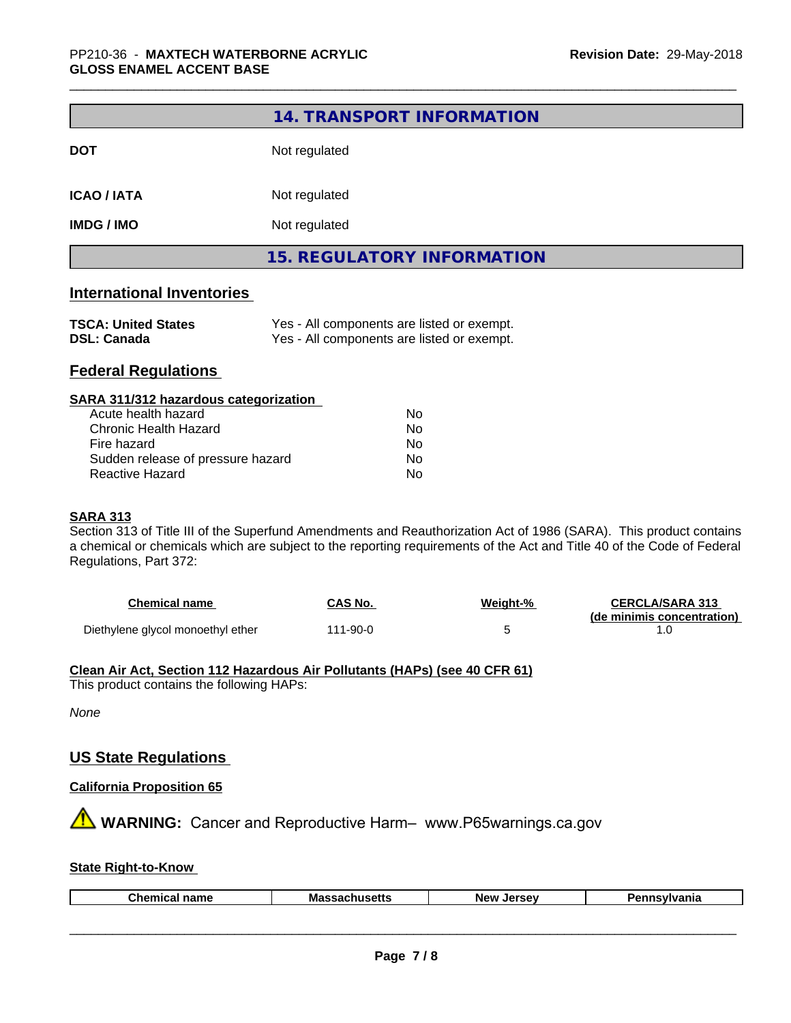|                                  | 14. TRANSPORT INFORMATION                  |
|----------------------------------|--------------------------------------------|
| <b>DOT</b>                       | Not regulated                              |
| <b>ICAO / IATA</b>               | Not regulated                              |
| <b>IMDG/IMO</b>                  | Not regulated                              |
|                                  | <b>15. REGULATORY INFORMATION</b>          |
| <b>International Inventories</b> |                                            |
| <b>TSCA: United States</b>       | Yes - All components are listed or exempt. |

| Yes - All components are listed or exempt |  |
|-------------------------------------------|--|
|                                           |  |

## **Federal Regulations**

**DSL: Canada** 

#### **SARA 311/312 hazardous categorization**

| Acute health hazard               | Nο |
|-----------------------------------|----|
| Chronic Health Hazard             | Nο |
| Fire hazard                       | Nο |
| Sudden release of pressure hazard | Nο |
| Reactive Hazard                   | N٥ |

#### **SARA 313**

Section 313 of Title III of the Superfund Amendments and Reauthorization Act of 1986 (SARA). This product contains a chemical or chemicals which are subject to the reporting requirements of the Act and Title 40 of the Code of Federal Regulations, Part 372:

| <b>Chemical name</b>              | CAS No.  | Weight-% | <b>CERCLA/SARA 313</b>     |
|-----------------------------------|----------|----------|----------------------------|
|                                   |          |          | (de minimis concentration) |
| Diethylene glycol monoethyl ether | 111-90-0 |          |                            |

#### **Clean Air Act,Section 112 Hazardous Air Pollutants (HAPs) (see 40 CFR 61)** This product contains the following HAPs:

*None*

## **US State Regulations**

#### **California Proposition 65**

**AN** WARNING: Cancer and Reproductive Harm– www.P65warnings.ca.gov

### **State Right-to-Know**

| Chemical | ⊺name | Massacl<br>---<br>---<br>nuscus | <b>Jerse</b> v<br>Nev <sup>.</sup> | Jann<br>าsvlvania |
|----------|-------|---------------------------------|------------------------------------|-------------------|
|          |       |                                 |                                    |                   |